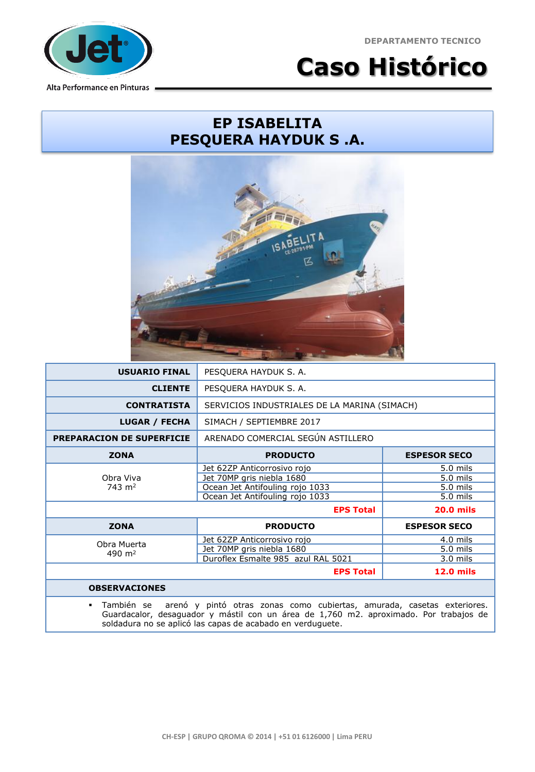**DEPARTAMENTO TECNICO**



**Caso Histórico**

## **EP ISABELITA PESQUERA HAYDUK S .A.**



| <b>USUARIO FINAL</b>                                                                                                                                                                            | PESQUERA HAYDUK S. A.                        |                     |  |
|-------------------------------------------------------------------------------------------------------------------------------------------------------------------------------------------------|----------------------------------------------|---------------------|--|
| <b>CLIENTE</b>                                                                                                                                                                                  | PESQUERA HAYDUK S. A.                        |                     |  |
| <b>CONTRATISTA</b>                                                                                                                                                                              | SERVICIOS INDUSTRIALES DE LA MARINA (SIMACH) |                     |  |
| <b>LUGAR / FECHA</b>                                                                                                                                                                            | SIMACH / SEPTIEMBRE 2017                     |                     |  |
| <b>PREPARACION DE SUPERFICIE</b>                                                                                                                                                                | ARENADO COMERCIAL SEGÚN ASTILLERO            |                     |  |
| <b>ZONA</b>                                                                                                                                                                                     | <b>PRODUCTO</b>                              | <b>ESPESOR SECO</b> |  |
| Obra Viva<br>$743 \text{ m}^2$                                                                                                                                                                  | Jet 62ZP Anticorrosivo rojo                  | 5.0 mils            |  |
|                                                                                                                                                                                                 | Jet 70MP gris niebla 1680                    | 5.0 mils            |  |
|                                                                                                                                                                                                 | Ocean Jet Antifouling rojo 1033              | 5.0 mils            |  |
|                                                                                                                                                                                                 | Ocean Jet Antifouling rojo 1033              | 5.0 mils            |  |
|                                                                                                                                                                                                 | <b>EPS Total</b>                             | <b>20.0 mils</b>    |  |
| <b>ZONA</b>                                                                                                                                                                                     | <b>PRODUCTO</b>                              | <b>ESPESOR SECO</b> |  |
| Obra Muerta<br>490 $m2$                                                                                                                                                                         | Jet 62ZP Anticorrosivo rojo                  | $4.0$ mils          |  |
|                                                                                                                                                                                                 | Jet 70MP gris niebla 1680                    | 5.0 mils            |  |
|                                                                                                                                                                                                 | Duroflex Esmalte 985 azul RAL 5021           | $3.0$ mils          |  |
|                                                                                                                                                                                                 | <b>EPS Total</b>                             | <b>12.0 mils</b>    |  |
| <b>OBSERVACIONES</b>                                                                                                                                                                            |                                              |                     |  |
| También se<br>arenó y pintó otras zonas como cubiertas, amurada, casetas exteriores.<br>$\blacksquare$<br>Guardacalor, desaguador y mástil con un área de 1,760 m2. aproximado. Por trabajos de |                                              |                     |  |

soldadura no se aplicó las capas de acabado en verduguete.